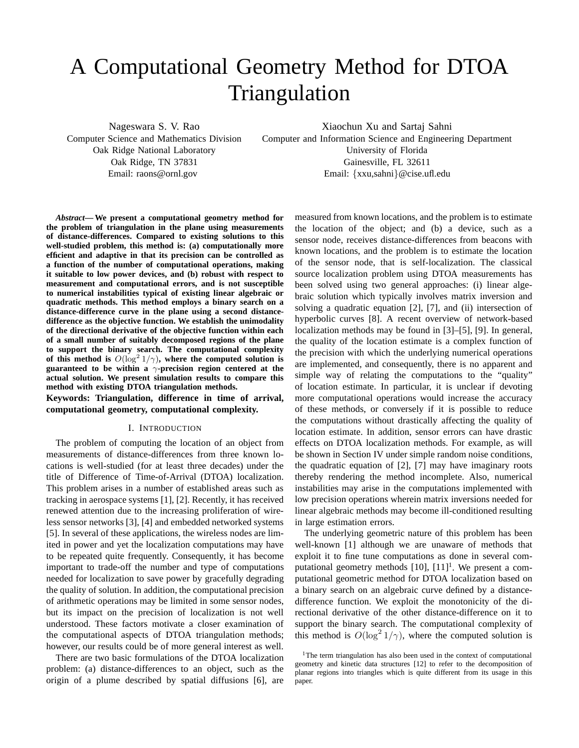# A Computational Geometry Method for DTOA Triangulation

Nageswara S. V. Rao

Computer Science and Mathematics Division Oak Ridge National Laboratory Oak Ridge, TN 37831 Email: raons@ornl.gov

Xiaochun Xu and Sartaj Sahni

Computer and Information Science and Engineering Department University of Florida Gainesville, FL 32611 Email: {xxu,sahni}@cise.ufl.edu

*Abstract***— We present a computational geometry method for the problem of triangulation in the plane using measurements of distance-differences. Compared to existing solutions to this well-studied problem, this method is: (a) computationally more efficient and adaptive in that its precision can be controlled as a function of the number of computational operations, making it suitable to low power devices, and (b) robust with respect to measurement and computational errors, and is not susceptible to numerical instabilities typical of existing linear algebraic or quadratic methods. This method employs a binary search on a distance-difference curve in the plane using a second distancedifference as the objective function. We establish the unimodality of the directional derivative of the objective function within each of a small number of suitably decomposed regions of the plane to support the binary search. The computational complexity** of this method is  $O(log<sup>2</sup> 1/\gamma)$ , where the computed solution is **guaranteed to be within a** γ**-precision region centered at the actual solution. We present simulation results to compare this method with existing DTOA triangulation methods.**

**Keywords: Triangulation, difference in time of arrival, computational geometry, computational complexity.**

#### I. INTRODUCTION

The problem of computing the location of an object from measurements of distance-differences from three known locations is well-studied (for at least three decades) under the title of Difference of Time-of-Arrival (DTOA) localization. This problem arises in a number of established areas such as tracking in aerospace systems [1], [2]. Recently, it has received renewed attention due to the increasing proliferation of wireless sensor networks [3], [4] and embedded networked systems [5]. In several of these applications, the wireless nodes are limited in power and yet the localization computations may have to be repeated quite frequently. Consequently, it has become important to trade-off the number and type of computations needed for localization to save power by gracefully degrading the quality of solution. In addition, the computational precision of arithmetic operations may be limited in some sensor nodes, but its impact on the precision of localization is not well understood. These factors motivate a closer examination of the computational aspects of DTOA triangulation methods; however, our results could be of more general interest as well.

There are two basic formulations of the DTOA localization problem: (a) distance-differences to an object, such as the origin of a plume described by spatial diffusions [6], are

measured from known locations, and the problem is to estimate the location of the object; and (b) a device, such as a sensor node, receives distance-differences from beacons with known locations, and the problem is to estimate the location of the sensor node, that is self-localization. The classical source localization problem using DTOA measurements has been solved using two general approaches: (i) linear algebraic solution which typically involves matrix inversion and solving a quadratic equation [2], [7], and (ii) intersection of hyperbolic curves [8]. A recent overview of network-based localization methods may be found in [3]–[5], [9]. In general, the quality of the location estimate is a complex function of the precision with which the underlying numerical operations are implemented, and consequently, there is no apparent and simple way of relating the computations to the "quality" of location estimate. In particular, it is unclear if devoting more computational operations would increase the accuracy of these methods, or conversely if it is possible to reduce the computations without drastically affecting the quality of location estimate. In addition, sensor errors can have drastic effects on DTOA localization methods. For example, as will be shown in Section IV under simple random noise conditions, the quadratic equation of [2], [7] may have imaginary roots thereby rendering the method incomplete. Also, numerical instabilities may arise in the computations implemented with low precision operations wherein matrix inversions needed for linear algebraic methods may become ill-conditioned resulting in large estimation errors.

The underlying geometric nature of this problem has been well-known [1] although we are unaware of methods that exploit it to fine tune computations as done in several computational geometry methods  $[10]$ ,  $[11]$ <sup>1</sup>. We present a computational geometric method for DTOA localization based on a binary search on an algebraic curve defined by a distancedifference function. We exploit the monotonicity of the directional derivative of the other distance-difference on it to support the binary search. The computational complexity of this method is  $O(\log^2 1/\gamma)$ , where the computed solution is

<sup>&</sup>lt;sup>1</sup>The term triangulation has also been used in the context of computational geometry and kinetic data structures [12] to refer to the decomposition of planar regions into triangles which is quite different from its usage in this paper.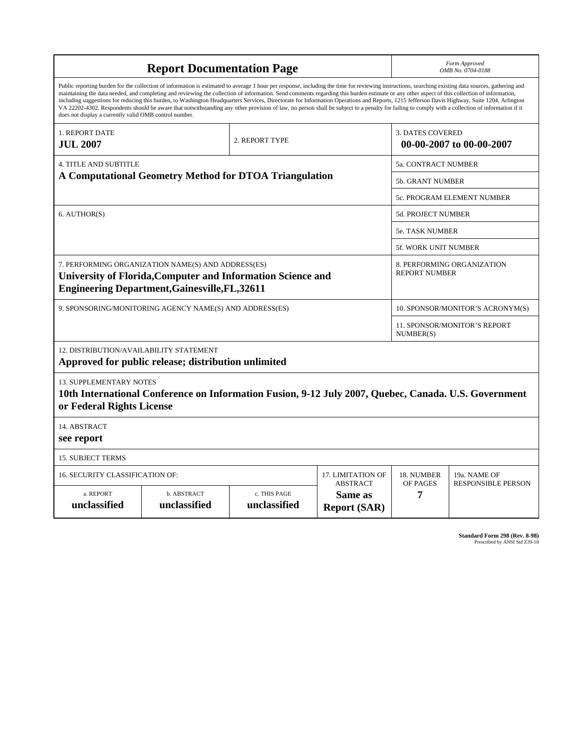| <b>Report Documentation Page</b>                            |                                                                                                                                                                                                                                                                                                                                                                                                                                                                                                                                                                                                                                                                                                                                                                                                          |                              | Form Approved<br>OMB No. 0704-0188                |                                                     |                                  |
|-------------------------------------------------------------|----------------------------------------------------------------------------------------------------------------------------------------------------------------------------------------------------------------------------------------------------------------------------------------------------------------------------------------------------------------------------------------------------------------------------------------------------------------------------------------------------------------------------------------------------------------------------------------------------------------------------------------------------------------------------------------------------------------------------------------------------------------------------------------------------------|------------------------------|---------------------------------------------------|-----------------------------------------------------|----------------------------------|
| does not display a currently valid OMB control number.      | Public reporting burden for the collection of information is estimated to average 1 hour per response, including the time for reviewing instructions, searching existing data sources, gathering and<br>maintaining the data needed, and completing and reviewing the collection of information. Send comments regarding this burden estimate or any other aspect of this collection of information,<br>including suggestions for reducing this burden, to Washington Headquarters Services, Directorate for Information Operations and Reports, 1215 Jefferson Davis Highway, Suite 1204, Arlington<br>VA 22202-4302. Respondents should be aware that notwithstanding any other provision of law, no person shall be subject to a penalty for failing to comply with a collection of information if it |                              |                                                   |                                                     |                                  |
| 1. REPORT DATE<br><b>JUL 2007</b>                           |                                                                                                                                                                                                                                                                                                                                                                                                                                                                                                                                                                                                                                                                                                                                                                                                          | 2. REPORT TYPE               |                                                   | <b>3. DATES COVERED</b><br>00-00-2007 to 00-00-2007 |                                  |
| <b>4. TITLE AND SUBTITLE</b>                                |                                                                                                                                                                                                                                                                                                                                                                                                                                                                                                                                                                                                                                                                                                                                                                                                          |                              |                                                   | 5a. CONTRACT NUMBER                                 |                                  |
|                                                             | A Computational Geometry Method for DTOA Triangulation                                                                                                                                                                                                                                                                                                                                                                                                                                                                                                                                                                                                                                                                                                                                                   |                              |                                                   | <b>5b. GRANT NUMBER</b>                             |                                  |
|                                                             |                                                                                                                                                                                                                                                                                                                                                                                                                                                                                                                                                                                                                                                                                                                                                                                                          |                              |                                                   |                                                     | 5c. PROGRAM ELEMENT NUMBER       |
| 6. AUTHOR(S)                                                |                                                                                                                                                                                                                                                                                                                                                                                                                                                                                                                                                                                                                                                                                                                                                                                                          |                              |                                                   | 5d. PROJECT NUMBER                                  |                                  |
|                                                             |                                                                                                                                                                                                                                                                                                                                                                                                                                                                                                                                                                                                                                                                                                                                                                                                          |                              |                                                   | 5e. TASK NUMBER                                     |                                  |
|                                                             |                                                                                                                                                                                                                                                                                                                                                                                                                                                                                                                                                                                                                                                                                                                                                                                                          |                              |                                                   | <b>5f. WORK UNIT NUMBER</b>                         |                                  |
|                                                             | 7. PERFORMING ORGANIZATION NAME(S) AND ADDRESS(ES)<br>University of Florida, Computer and Information Science and<br><b>Engineering Department, Gainesville, FL, 32611</b>                                                                                                                                                                                                                                                                                                                                                                                                                                                                                                                                                                                                                               |                              |                                                   | <b>REPORT NUMBER</b>                                | 8. PERFORMING ORGANIZATION       |
|                                                             | 9. SPONSORING/MONITORING AGENCY NAME(S) AND ADDRESS(ES)                                                                                                                                                                                                                                                                                                                                                                                                                                                                                                                                                                                                                                                                                                                                                  |                              |                                                   |                                                     | 10. SPONSOR/MONITOR'S ACRONYM(S) |
|                                                             |                                                                                                                                                                                                                                                                                                                                                                                                                                                                                                                                                                                                                                                                                                                                                                                                          |                              |                                                   | 11. SPONSOR/MONITOR'S REPORT<br>NUMBER(S)           |                                  |
| 12. DISTRIBUTION/AVAILABILITY STATEMENT                     | Approved for public release; distribution unlimited                                                                                                                                                                                                                                                                                                                                                                                                                                                                                                                                                                                                                                                                                                                                                      |                              |                                                   |                                                     |                                  |
| <b>13. SUPPLEMENTARY NOTES</b><br>or Federal Rights License | 10th International Conference on Information Fusion, 9-12 July 2007, Quebec, Canada. U.S. Government                                                                                                                                                                                                                                                                                                                                                                                                                                                                                                                                                                                                                                                                                                     |                              |                                                   |                                                     |                                  |
| 14. ABSTRACT<br>see report                                  |                                                                                                                                                                                                                                                                                                                                                                                                                                                                                                                                                                                                                                                                                                                                                                                                          |                              |                                                   |                                                     |                                  |
| <b>15. SUBJECT TERMS</b>                                    |                                                                                                                                                                                                                                                                                                                                                                                                                                                                                                                                                                                                                                                                                                                                                                                                          |                              |                                                   |                                                     |                                  |
| <b>16. SECURITY CLASSIFICATION OF:</b>                      |                                                                                                                                                                                                                                                                                                                                                                                                                                                                                                                                                                                                                                                                                                                                                                                                          |                              | 17. LIMITATION OF                                 | 18. NUMBER                                          | 19a. NAME OF                     |
| a. REPORT<br>unclassified                                   | b. ABSTRACT<br>unclassified                                                                                                                                                                                                                                                                                                                                                                                                                                                                                                                                                                                                                                                                                                                                                                              | c. THIS PAGE<br>unclassified | <b>ABSTRACT</b><br>Same as<br><b>Report (SAR)</b> | OF PAGES<br>7                                       | <b>RESPONSIBLE PERSON</b>        |

**Standard Form 298 (Rev. 8-98)**<br>Prescribed by ANSI Std Z39-18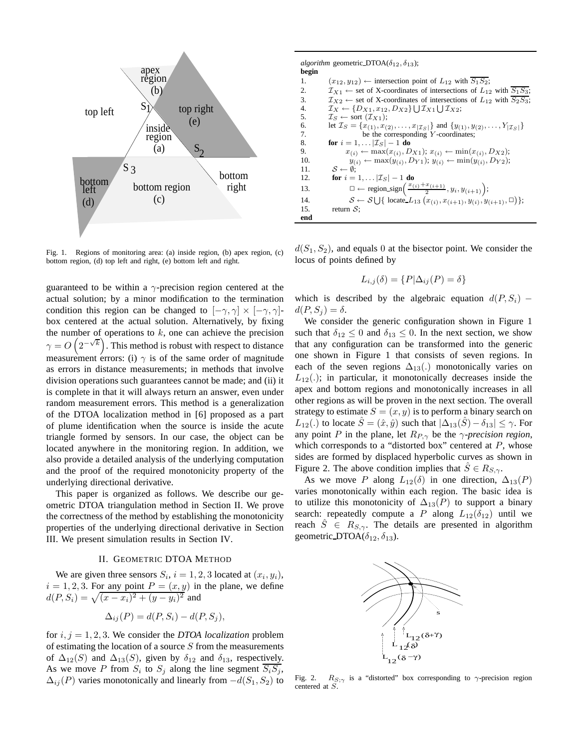

Fig. 1. Regions of monitoring area: (a) inside region, (b) apex region, (c) bottom region, (d) top left and right, (e) bottom left and right.

guaranteed to be within a  $\gamma$ -precision region centered at the actual solution; by a minor modification to the termination condition this region can be changed to  $[-\gamma, \gamma] \times [-\gamma, \gamma]$ box centered at the actual solution. Alternatively, by fixing the number of operations to  $k$ , one can achieve the precision  $\gamma = O\left(2^{-\sqrt{k}}\right)$ . This method is robust with respect to distance measurement errors: (i)  $\gamma$  is of the same order of magnitude as errors in distance measurements; in methods that involve division operations such guarantees cannot be made; and (ii) it is complete in that it will always return an answer, even under random measurement errors. This method is a generalization of the DTOA localization method in [6] proposed as a part of plume identification when the source is inside the acute triangle formed by sensors. In our case, the object can be located anywhere in the monitoring region. In addition, we also provide a detailed analysis of the underlying computation and the proof of the required monotonicity property of the underlying directional derivative.

This paper is organized as follows. We describe our geometric DTOA triangulation method in Section II. We prove the correctness of the method by establishing the monotonicity properties of the underlying directional derivative in Section III. We present simulation results in Section IV.

## II. GEOMETRIC DTOA METHOD

We are given three sensors  $S_i$ ,  $i = 1, 2, 3$  located at  $(x_i, y_i)$ ,  $i = 1, 2, 3$ . For any point  $P = (x, y)$  in the plane, we define  $d(P, S_i) = \sqrt{(x - x_i)^2 + (y - y_i)^2}$  and

$$
\Delta_{ij}(P) = d(P, S_i) - d(P, S_j),
$$

for  $i, j = 1, 2, 3$ . We consider the *DTOA localization* problem of estimating the location of a source  $S$  from the measurements of  $\Delta_{12}(S)$  and  $\Delta_{13}(S)$ , given by  $\delta_{12}$  and  $\delta_{13}$ , respectively. As we move P from  $S_i$  to  $S_j$  along the line segment  $\overline{S_i S_j}$ ,  $\Delta_{ii}(P)$  varies monotonically and linearly from  $-d(S_1, S_2)$  to *algorithm* geometric DTOA( $\delta_{12}$ ,  $\delta_{13}$ ); **begin** 1.  $(x_{12}, y_{12}) \leftarrow$  intersection point of  $L_{12}$  with  $\overline{S_1S_2}$ ;<br>2.  $\mathcal{I}_{X1} \leftarrow$  set of X-coordinates of intersections of  $L_{12}$ 2.  $\mathcal{I}_{X1} \leftarrow$  set of X-coordinates of intersections of  $L_{12}$  with  $\overline{S_1S_3}$ ;<br>3.  $\mathcal{I}_{X2} \leftarrow$  set of X-coordinates of intersections of  $L_{12}$  with  $\overline{S_2S_3}$ ; 3.  $\mathcal{I}_{X2} \leftarrow$  set of X-coordinates of intersections of  $L_{12}$  with  $\overline{S_2S_3}$ ;<br>4.  $\mathcal{I}_X \leftarrow \{D_{X1}, x_{12}, D_{X2}\} \cup \mathcal{I}_{X1} \cup \mathcal{I}_{X2}$ ; 4.  $\mathcal{I}_X \leftarrow \{D_{X1}, x_{12}, D_{X2}\} \bigcup \mathcal{I}_{X1} \bigcup \mathcal{I}_{X2};$ 5.  $\mathcal{I}_S \leftarrow \text{sort}(\mathcal{I}_{X1});$ <br>6. let  $\mathcal{I}_S = \{x_{(1)}, x_{(2)}\}$ 6. let  $\mathcal{I}_S = \{x_{(1)}, x_{(2)}, \ldots, x_{|\mathcal{I}_S|}\}\$  and  $\{y_{(1)}, y_{(2)}, \ldots, Y_{|\mathcal{I}_S|}\}\$ <br>7. be the corresponding Y-coordinates; be the corresponding  $Y$ -coordinates; 8. **for**  $i = 1, ... |Z_S| - 1$  **do**<br>9.  $x_{(i)} \leftarrow \max(x_{(i)}, D)$ 9.  $x_{(i)} \leftarrow \max(x_{(i)}, D_{X1}); x_{(i)} \leftarrow \min(x_{(i)}, D_{X2});$ <br>10.  $y_{(i)} \leftarrow \max(y_{(i)}, D_{Y1}); y_{(i)} \leftarrow \min(y_{(i)}, D_{Y2});$ 10.  $y_{(i)} \leftarrow \max(y_{(i)}, D_{Y1}); y_{(i)} \leftarrow \min(y_{(i)}, D_{Y2});$ <br>11.  $S \leftarrow \emptyset$ ; 11.  $S \leftarrow \emptyset;$ <br>12. for  $i =$ **for**  $i = 1, ... |Z_S| - 1$  **do** 13.  $\square \leftarrow \text{region\_sign}\left(\frac{x_{(i)}+x_{(i+1)}}{2}, y_i, y_{(i+1)}\right);$ 14.  $S \leftarrow S \cup \{ \text{ locate } L_{13} (x_{(i)}, x_{(i+1)}, y_{(i)}, y_{(i+1)}, \Box) \};$ 15. return  $S$ ; **end**

 $d(S_1, S_2)$ , and equals 0 at the bisector point. We consider the locus of points defined by

$$
L_{i,j}(\delta) = \{ P | \Delta_{ij}(P) = \delta \}
$$

which is described by the algebraic equation  $d(P, S_i)$  –  $d(P, S_i) = \delta.$ 

We consider the generic configuration shown in Figure 1 such that  $\delta_{12} \leq 0$  and  $\delta_{13} \leq 0$ . In the next section, we show that any configuration can be transformed into the generic one shown in Figure 1 that consists of seven regions. In each of the seven regions  $\Delta_{13}$ (.) monotonically varies on  $L_{12}$ (.); in particular, it monotonically decreases inside the apex and bottom regions and monotonically increases in all other regions as will be proven in the next section. The overall strategy to estimate  $S = (x, y)$  is to perform a binary search on  $L_{12}$ (.) to locate  $\hat{S} = (\hat{x}, \hat{y})$  such that  $|\Delta_{13}(\hat{S}) - \delta_{13}| \leq \gamma$ . For any point P in the plane, let  $R_{P,\gamma}$  be the  $\gamma$ -precision region, which corresponds to a "distorted box" centered at  $P$ , whose sides are formed by displaced hyperbolic curves as shown in Figure 2. The above condition implies that  $\hat{S} \in R_{S,\gamma}$ .

As we move P along  $L_{12}(\delta)$  in one direction,  $\Delta_{13}(P)$ varies monotonically within each region. The basic idea is to utilize this monotonicity of  $\Delta_{13}(P)$  to support a binary search: repeatedly compute a P along  $L_{12}(\delta_{12})$  until we reach  $S \in R_{S,\gamma}$ . The details are presented in algorithm geometric DTOA( $\delta_{12}, \delta_{13}$ ).



Fig. 2.  $R_{S;\gamma}$  is a "distorted" box corresponding to  $\gamma$ -precision region centered at S.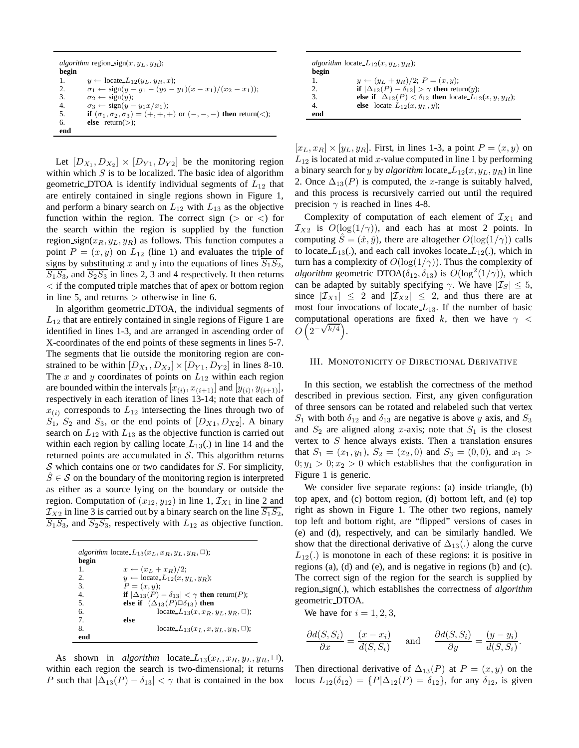|       | <i>algorithm</i> region sign $(x, y_L, y_R)$ ;                                 |
|-------|--------------------------------------------------------------------------------|
| begin |                                                                                |
| 1.    | $y \leftarrow$ locate $L_{12}(y_L, y_R, x)$ ;                                  |
| 2.    | $\sigma_1 \leftarrow \text{sign}(y - y_1 - (y_2 - y_1)(x - x_1)/(x_2 - x_1));$ |
| 3.    | $\sigma_2 \leftarrow \text{sign}(y);$                                          |
| 4.    | $\sigma_3 \leftarrow \text{sign}(y - y_1 x / x_1);$                            |
| 5.    | if $(\sigma_1, \sigma_2, \sigma_3) = (+, +, +)$ or $(-, -, -)$ then return(<); |
| 6.    | <b>else</b> return( $>$ );                                                     |
| end   |                                                                                |

Let  $[D_{X_1}, D_{X_2}] \times [D_{Y_1}, D_{Y_2}]$  be the monitoring region within which  $S$  is to be localized. The basic idea of algorithm geometric DTOA is identify individual segments of  $L_{12}$  that are entirely contained in single regions shown in Figure 1, and perform a binary search on  $L_{12}$  with  $L_{13}$  as the objective function within the region. The correct sign  $($  or  $<$  for the search within the region is supplied by the function region sign( $x_R, y_L, y_R$ ) as follows. This function computes a point  $P = (x, y)$  on  $L_{12}$  (line 1) and evaluates the triple of signs by substituting x and y into the equations of lines  $\overline{S_1S_2}$ ,  $\overline{S_1S_3}$ , and  $\overline{S_2S_3}$  in lines 2, 3 and 4 respectively. It then returns < if the computed triple matches that of apex or bottom region in line 5, and returns > otherwise in line 6.

In algorithm geometric DTOA, the individual segments of  $L_{12}$  that are entirely contained in single regions of Figure 1 are identified in lines 1-3, and are arranged in ascending order of X-coordinates of the end points of these segments in lines 5-7. The segments that lie outside the monitoring region are constrained to be within  $[D_{X_1}, D_{X_2}] \times [D_{Y_1}, D_{Y_2}]$  in lines 8-10. The x and y coordinates of points on  $L_{12}$  within each region are bounded within the intervals  $[x_{(i)}, x_{(i+1)}]$  and  $[y_{(i)}, y_{(i+1)}]$ , respectively in each iteration of lines 13-14; note that each of  $x_{(i)}$  corresponds to  $L_{12}$  intersecting the lines through two of  $S_1$ ,  $S_2$  and  $S_3$ , or the end points of  $[D_{X1}, D_{X2}]$ . A binary search on  $L_{12}$  with  $L_{13}$  as the objective function is carried out within each region by calling locate  $L_{13}$ (.) in line 14 and the returned points are accumulated in  $S$ . This algorithm returns  $S$  which contains one or two candidates for  $S$ . For simplicity,  $\hat{S} \in \mathcal{S}$  on the boundary of the monitoring region is interpreted as either as a source lying on the boundary or outside the region. Computation of  $(x_{12}, y_{12})$  in line 1,  $\mathcal{I}_{X1}$  in line 2 and  $\frac{\mathcal{I}_{X2}}{\mathcal{I}_{X2}}$  in line 3 is carried out by a binary search on the line  $\overline{S_1S_2}$ ,  $\overline{S_1S_3}$ , and  $\overline{S_2S_3}$ , respectively with  $L_{12}$  as objective function.

|                  | <i>algorithm</i> locate $L_{13}(x_L, x_R, y_L, y_R, \Box)$ ; |
|------------------|--------------------------------------------------------------|
| begin            |                                                              |
| $\mathbf{1}$     | $x \leftarrow (x_L + x_R)/2;$                                |
| $\mathfrak{D}$   | $y \leftarrow$ locate_ $L_{12}(x, y_L, y_R)$ ;               |
| 3.               | $P=(x,y);$                                                   |
| $\overline{4}$ . | if $ \Delta_{13}(P) - \delta_{13}  < \gamma$ then return(P); |
| 5.               | else if $(\Delta_{13}(P)\Box \delta_{13})$ then              |
| б.               | locate $L_{13}(x, x_B, y_L, y_B, \Box)$ ;                    |
| 7.               | else                                                         |
| 8.               | locate $L_{13}(x_L, x, y_L, y_R, \square)$ ;                 |
| end              |                                                              |

As shown in *algorithm* locate  $L_{13}(x_L, x_R, y_L, y_R, \Box)$ , within each region the search is two-dimensional; it returns P such that  $|\Delta_{13}(P) - \delta_{13}| < \gamma$  that is contained in the box

| begin |                                                                          |
|-------|--------------------------------------------------------------------------|
| 1.    | $y \leftarrow (y_L + y_R)/2$ ; $P = (x, y)$ ;                            |
| 2.    | if $ \Delta_{12}(P) - \delta_{12}  > \gamma$ then return(y);             |
| 3.    | else if $\Delta_{12}(P) < \delta_{12}$ then locate $L_{12}(x, y, y_R)$ ; |
| 4.    | else locate $L_{12}(x, y_L, y)$ ;                                        |
| end   |                                                                          |

 $[x_L, x_R] \times [y_L, y_R]$ . First, in lines 1-3, a point  $P = (x, y)$  on  $L_{12}$  is located at mid x-value computed in line 1 by performing a binary search for y by *algorithm* locate  $L_{12}(x, y_L, y_R)$  in line 2. Once  $\Delta_{13}(P)$  is computed, the x-range is suitably halved, and this process is recursively carried out until the required precision  $\gamma$  is reached in lines 4-8.

Complexity of computation of each element of  $\mathcal{I}_{X1}$  and  $\mathcal{I}_{X2}$  is  $O(log(1/\gamma))$ , and each has at most 2 points. In computing  $\hat{S} = (\hat{x}, \hat{y})$ , there are altogether  $O(\log(1/\gamma))$  calls to locate  $L_{13}(.)$ , and each call invokes locate  $L_{12}(.)$ , which in turn has a complexity of  $O(\log(1/\gamma))$ . Thus the complexity of *algorithm* geometric DTOA( $\delta_{12}$ ,  $\delta_{13}$ ) is  $O(log^2(1/\gamma))$ , which can be adapted by suitably specifying  $\gamma$ . We have  $|\mathcal{I}_S| \leq 5$ , since  $|\mathcal{I}_{X1}| \leq 2$  and  $|\mathcal{I}_{X2}| \leq 2$ , and thus there are at most four invocations of locate  $L_{13}$ . If the number of basic computational operations are fixed k, then we have  $\gamma$  < computational<br> $O\left(2^{-\sqrt{k/4}}\right)$ .

#### III. MONOTONICITY OF DIRECTIONAL DERIVATIVE

In this section, we establish the correctness of the method described in previous section. First, any given configuration of three sensors can be rotated and relabeled such that vertex  $S_1$  with both  $\delta_{12}$  and  $\delta_{13}$  are negative is above y axis, and  $S_3$ and  $S_2$  are aligned along x-axis; note that  $S_1$  is the closest vertex to  $S$  hence always exists. Then a translation ensures that  $S_1 = (x_1, y_1)$ ,  $S_2 = (x_2, 0)$  and  $S_3 = (0, 0)$ , and  $x_1 >$  $0; y_1 > 0; x_2 > 0$  which establishes that the configuration in Figure 1 is generic.

We consider five separate regions: (a) inside triangle, (b) top apex, and (c) bottom region, (d) bottom left, and (e) top right as shown in Figure 1. The other two regions, namely top left and bottom right, are "flipped" versions of cases in (e) and (d), respectively, and can be similarly handled. We show that the directional derivative of  $\Delta_{13}(.)$  along the curve  $L_{12}$ .) is monotone in each of these regions: it is positive in regions (a), (d) and (e), and is negative in regions (b) and (c). The correct sign of the region for the search is supplied by region sign(.), which establishes the correctness of *algorithm* geometric DTOA.

We have for  $i = 1, 2, 3$ ,

$$
\frac{\partial d(S, S_i)}{\partial x} = \frac{(x - x_i)}{d(S, S_i)} \quad \text{and} \quad \frac{\partial d(S, S_i)}{\partial y} = \frac{(y - y_i)}{d(S, S_i)}.
$$

Then directional derivative of  $\Delta_{13}(P)$  at  $P = (x, y)$  on the locus  $L_{12}(\delta_{12}) = \{P | \Delta_{12}(P) = \delta_{12}\}\$ , for any  $\delta_{12}$ , is given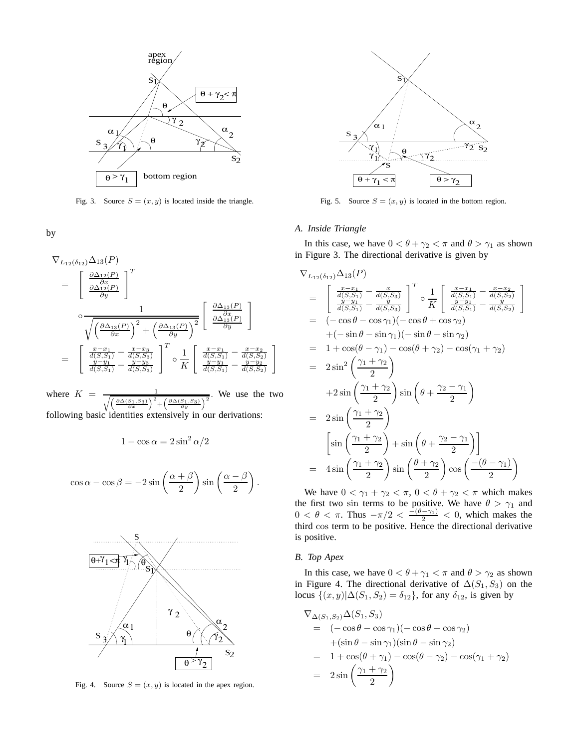

Fig. 3. Source  $S = (x, y)$  is located inside the triangle.

by

$$
\nabla_{L_{12}(\delta_{12})} \Delta_{13}(P)
$$
\n
$$
= \left[\begin{array}{c} \frac{\partial \Delta_{12}(P)}{\partial x} \\ \frac{\partial \Delta_{12}(P)}{\partial y} \end{array}\right]^T
$$
\n
$$
\circ \frac{1}{\sqrt{\left(\frac{\partial \Delta_{13}(P)}{\partial x}\right)^2 + \left(\frac{\partial \Delta_{13}(P)}{\partial y}\right)^2}} \left[\begin{array}{c} \frac{\partial \Delta_{13}(P)}{\partial x} \\ \frac{\partial \Delta_{13}(P)}{\partial y} \end{array}\right]
$$
\n
$$
= \left[\begin{array}{c} \frac{x - x_1}{d(S, S_1)} - \frac{x - x_3}{d(S, S_3)} \\ \frac{y - y_1}{d(S, S_1)} - \frac{y - y_3}{d(S, S_3)} \end{array}\right]^T \circ \frac{1}{K} \left[\begin{array}{c} \frac{x - x_1}{d(S, S_1)} - \frac{x - x_2}{d(S, S_2)} \\ \frac{y - y_1}{d(S, S_1)} - \frac{y - y_2}{d(S, S_2)} \end{array}\right]
$$

where  $K =$ 1  $\left( \frac{\partial \Delta (S_1, S_3)}{\partial \Delta (S_1, S_3)} \right)$  $\frac{S_1,S_3)}{\partial x}\Big)^2$  $+\left(\frac{\partial \Delta (S_1, S_3)}{\partial y}\right)$ We use the two following basic identities extensively in our derivations:

$$
1 - \cos \alpha = 2\sin^2 \alpha/2
$$

$$
\cos \alpha - \cos \beta = -2\sin\left(\frac{\alpha + \beta}{2}\right)\sin\left(\frac{\alpha - \beta}{2}\right)
$$



Fig. 4. Source  $S = (x, y)$  is located in the apex region.



Fig. 5. Source  $S = (x, y)$  is located in the bottom region.

## *A. Inside Triangle*

In this case, we have  $0 < \theta + \gamma_2 < \pi$  and  $\theta > \gamma_1$  as shown in Figure 3. The directional derivative is given by

$$
\nabla_{L_{12}(\delta_{12})} \Delta_{13}(P) \n= \begin{bmatrix}\n\frac{x}{d(S,S_1)} - \frac{x}{d(S,S_3)} \\
\frac{y-y_1}{d(S,S_1)} - \frac{y}{d(S,S_3)}\n\end{bmatrix}^T \circ \frac{1}{K} \begin{bmatrix}\n\frac{x-x_1}{d(S,S_1)} - \frac{x-x_2}{d(S,S_2)} \\
\frac{y-y_1}{d(S,S_1)} - \frac{y}{d(S,S_2)}\n\end{bmatrix} \n= (-\cos\theta - \cos\gamma_1)(-\cos\theta + \cos\gamma_2) \n+ (-\sin\theta - \sin\gamma_1)(-\sin\theta - \sin\gamma_2) \n= 1 + \cos(\theta - \gamma_1) - \cos(\theta + \gamma_2) - \cos(\gamma_1 + \gamma_2) \n= 2\sin^2\left(\frac{\gamma_1 + \gamma_2}{2}\right) \n+ 2\sin\left(\frac{\gamma_1 + \gamma_2}{2}\right) \sin\left(\theta + \frac{\gamma_2 - \gamma_1}{2}\right) \n= 2\sin\left(\frac{\gamma_1 + \gamma_2}{2}\right) + \sin\left(\theta + \frac{\gamma_2 - \gamma_1}{2}\right) \n= \frac{\sin\left(\frac{\gamma_1 + \gamma_2}{2}\right)}{\sin\left(\frac{\gamma_1 + \gamma_2}{2}\right)} \sin\left(\frac{\theta + \gamma_2 - \gamma_1}{2}\right) \n= 4\sin\left(\frac{\gamma_1 + \gamma_2}{2}\right) \sin\left(\frac{\theta + \gamma_2}{2}\right) \cos\left(\frac{-(\theta - \gamma_1)}{2}\right)
$$

We have  $0 < \gamma_1 + \gamma_2 < \pi$ ,  $0 < \theta + \gamma_2 < \pi$  which makes the first two sin terms to be positive. We have  $\theta > \gamma_1$  and  $0 < \theta < \pi$ . Thus  $-\pi/2 < \frac{-(\theta - \gamma_1)}{2} < 0$ , which makes the third cos term to be positive. Hence the directional derivative is positive.

## *B. Top Apex*

.

In this case, we have  $0 < \theta + \gamma_1 < \pi$  and  $\theta > \gamma_2$  as shown in Figure 4. The directional derivative of  $\Delta(S_1, S_3)$  on the locus  $\{(x, y)|\Delta(S_1, S_2) = \delta_{12}\}\,$ , for any  $\delta_{12}$ , is given by

$$
\nabla_{\Delta(S_1, S_2)} \Delta(S_1, S_3)
$$
  
=  $(-\cos \theta - \cos \gamma_1)(-\cos \theta + \cos \gamma_2)$   
+ $(\sin \theta - \sin \gamma_1)(\sin \theta - \sin \gamma_2)$   
=  $1 + \cos(\theta + \gamma_1) - \cos(\theta - \gamma_2) - \cos(\gamma_1 + \gamma_2)$   
=  $2 \sin \left(\frac{\gamma_1 + \gamma_2}{2}\right)$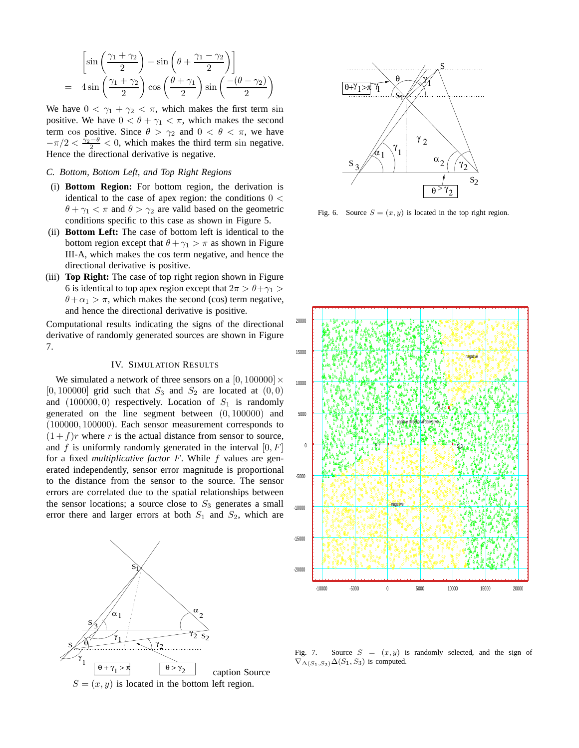$$
\begin{bmatrix} \sin\left(\frac{\gamma_1 + \gamma_2}{2}\right) - \sin\left(\theta + \frac{\gamma_1 - \gamma_2}{2}\right) \end{bmatrix}
$$
  
=  $4 \sin\left(\frac{\gamma_1 + \gamma_2}{2}\right) \cos\left(\frac{\theta + \gamma_1}{2}\right) \sin\left(\frac{-(\theta - \gamma_2)}{2}\right)$ 

We have  $0 < \gamma_1 + \gamma_2 < \pi$ , which makes the first term sin positive. We have  $0 < \theta + \gamma_1 < \pi$ , which makes the second term cos positive. Since  $\theta > \gamma_2$  and  $0 < \theta < \pi$ , we have  $-\pi/2 < \frac{\lambda_2-\theta}{2} < 0$ , which makes the third term sin negative. Hence the directional derivative is negative.

## *C. Bottom, Bottom Left, and Top Right Regions*

- (i) **Bottom Region:** For bottom region, the derivation is identical to the case of apex region: the conditions  $0 <$  $\theta + \gamma_1 < \pi$  and  $\theta > \gamma_2$  are valid based on the geometric conditions specific to this case as shown in Figure 5.
- (ii) **Bottom Left:** The case of bottom left is identical to the bottom region except that  $\theta + \gamma_1 > \pi$  as shown in Figure III-A, which makes the cos term negative, and hence the directional derivative is positive.
- (iii) **Top Right:** The case of top right region shown in Figure 6 is identical to top apex region except that  $2\pi > \theta + \gamma_1 >$  $\theta + \alpha_1 > \pi$ , which makes the second (cos) term negative, and hence the directional derivative is positive.

Computational results indicating the signs of the directional derivative of randomly generated sources are shown in Figure 7.

# IV. SIMULATION RESULTS

We simulated a network of three sensors on a  $[0, 100000] \times$ [0, 100000] grid such that  $S_3$  and  $S_2$  are located at  $(0, 0)$ and  $(100000, 0)$  respectively. Location of  $S_1$  is randomly generated on the line segment between (0, 100000) and (100000, 100000). Each sensor measurement corresponds to  $(1 + f)r$  where r is the actual distance from sensor to source, and f is uniformly randomly generated in the interval  $[0, F]$ for a fixed *multiplicative factor* F. While f values are generated independently, sensor error magnitude is proportional to the distance from the sensor to the source. The sensor errors are correlated due to the spatial relationships between the sensor locations; a source close to  $S_3$  generates a small error there and larger errors at both  $S_1$  and  $S_2$ , which are





Fig. 6. Source  $S = (x, y)$  is located in the top right region.



Fig. 7. Source  $S = (x, y)$  is randomly selected, and the sign of  $\nabla_{\Delta(S_1,S_2)}\Delta(S_1,S_3)$  is computed.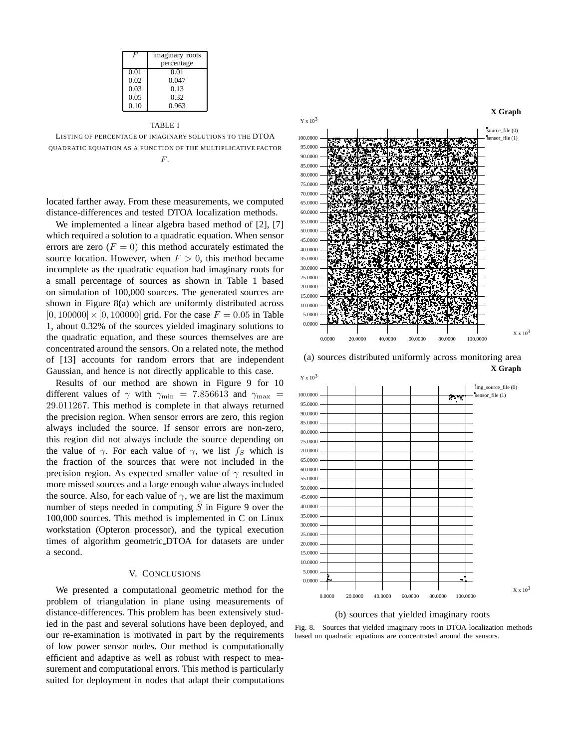|      | imaginary roots |
|------|-----------------|
|      | percentage      |
| 0.01 | 0.01            |
| 0.02 | 0.047           |
| 0.03 | 0.13            |
| 0.05 | 0.32            |
| 0.10 | 0.963           |
|      |                 |

TABLE I

LISTING OF PERCENTAGE OF IMAGINARY SOLUTIONS TO THE DTOA QUADRATIC EQUATION AS A FUNCTION OF THE MULTIPLICATIVE FACTOR  $F$ .

located farther away. From these measurements, we computed distance-differences and tested DTOA localization methods.

We implemented a linear algebra based method of [2], [7] which required a solution to a quadratic equation. When sensor errors are zero  $(F = 0)$  this method accurately estimated the source location. However, when  $F > 0$ , this method became incomplete as the quadratic equation had imaginary roots for a small percentage of sources as shown in Table 1 based on simulation of 100,000 sources. The generated sources are shown in Figure 8(a) which are uniformly distributed across  $[0, 100000] \times [0, 100000]$  grid. For the case  $F = 0.05$  in Table 1, about 0.32% of the sources yielded imaginary solutions to the quadratic equation, and these sources themselves are are concentrated around the sensors. On a related note, the method of [13] accounts for random errors that are independent Gaussian, and hence is not directly applicable to this case.

Results of our method are shown in Figure 9 for 10 different values of  $\gamma$  with  $\gamma_{\text{min}} = 7.856613$  and  $\gamma_{\text{max}} =$ 29.011267. This method is complete in that always returned the precision region. When sensor errors are zero, this region always included the source. If sensor errors are non-zero, this region did not always include the source depending on the value of  $\gamma$ . For each value of  $\gamma$ , we list  $f_S$  which is the fraction of the sources that were not included in the precision region. As expected smaller value of  $\gamma$  resulted in more missed sources and a large enough value always included the source. Also, for each value of  $\gamma$ , we are list the maximum number of steps needed in computing  $\hat{S}$  in Figure 9 over the 100,000 sources. This method is implemented in C on Linux workstation (Opteron processor), and the typical execution times of algorithm geometric DTOA for datasets are under a second.

#### V. CONCLUSIONS

We presented a computational geometric method for the problem of triangulation in plane using measurements of distance-differences. This problem has been extensively studied in the past and several solutions have been deployed, and our re-examination is motivated in part by the requirements of low power sensor nodes. Our method is computationally efficient and adaptive as well as robust with respect to measurement and computational errors. This method is particularly suited for deployment in nodes that adapt their computations



(a) sources distributed uniformly across monitoring area **X Graph**





Fig. 8. Sources that yielded imaginary roots in DTOA localization methods based on quadratic equations are concentrated around the sensors.